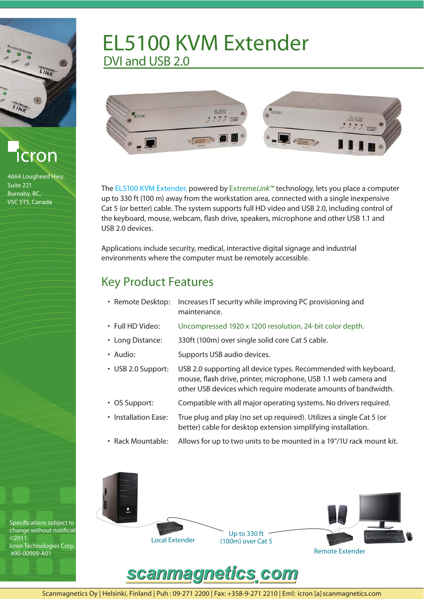EXTREME-**EXTREME** 



4664 Lougheed Hwy. Suite 221 Burnaby, BC, V5C 5T5, Canada



## EL5100 KVM Extender DVI and USB 2.0



The EL5100 KVM Extender, powered by ExtremeLink™ technology, lets you place a computer up to 330 ft (100 m) away from the workstation area, connected with a single inexpensive Cat 5 (or better) cable. The system supports full HD video and USB 2.0, including control of the keyboard, mouse, webcam, flash drive, speakers, microphone and other USB 1.1 and USB 2.0 devices.

Applications include security, medical, interactive digital signage and industrial environments where the computer must be remotely accessible.

## Key Product Features

- Remote Desktop: Increases IT security while improving PC provisioning and maintenance.
- Full HD Video: Uncompressed 1920 x 1200 resolution, 24-bit color depth.
- Long Distance: 330ft (100m) over single solid core Cat 5 cable.
- Audio: Supports USB audio devices.
- USB 2.0 Support: USB 2.0 supporting all device types. Recommended with keyboard, mouse, flash drive, printer, microphone, USB 1.1 web camera and other USB devices which require moderate amounts of bandwidth.
- OS Support: Compatible with all major operating systems. No drivers required.
- Installation Ease: True plug and play (no set up required). Utilizes a single Cat 5 (or better) cable for desktop extension simplifying installation.
- Rack Mountable: Allows for up to two units to be mounted in a 19"/1U rack mount kit.





Scanmagnetics Oy | Helsinki, Finland | Puh : 09-271 2200 | Fax: +358-9-271 2210 | Eml: icron [a] scanmagnetics.com